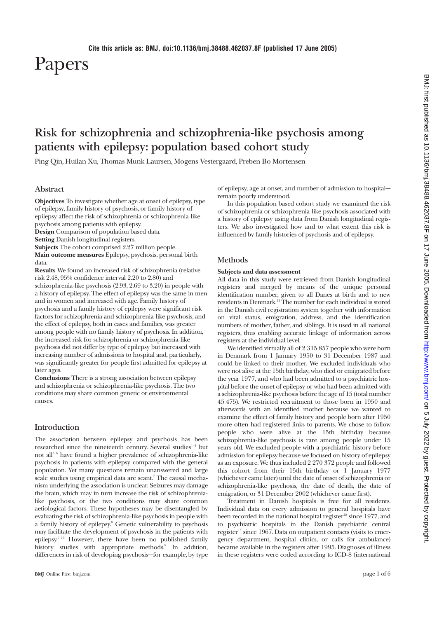# Papers

# **Risk for schizophrenia and schizophrenia-like psychosis among patients with epilepsy: population based cohort study**

Ping Qin, Huilan Xu, Thomas Munk Laursen, Mogens Vestergaard, Preben Bo Mortensen

# **Abstract**

**Objectives** To investigate whether age at onset of epilepsy, type of epilepsy, family history of psychosis, or family history of epilepsy affect the risk of schizophrenia or schizophrenia-like psychosis among patients with epilepsy.

**Design** Comparison of population based data.

**Setting** Danish longitudinal registers.

**Subjects** The cohort comprised 2.27 million people.

**Main outcome measures** Epilepsy, psychosis, personal birth data.

**Results** We found an increased risk of schizophrenia (relative risk 2.48, 95% confidence interval 2.20 to 2.80) and schizophrenia-like psychosis (2.93, 2.69 to 3.20) in people with a history of epilepsy. The effect of epilepsy was the same in men and in women and increased with age. Family history of psychosis and a family history of epilepsy were significant risk factors for schizophrenia and schizophrenia-like psychosis, and the effect of epilepsy, both in cases and families, was greater among people with no family history of psychosis. In addition, the increased risk for schizophrenia or schizophrenia-like psychosis did not differ by type of epilepsy but increased with increasing number of admissions to hospital and, particularly, was significantly greater for people first admitted for epilepsy at later ages.

**Conclusions** There is a strong association between epilepsy and schizophrenia or schizophrenia-like psychosis. The two conditions may share common genetic or environmental causes.

# **Introduction**

The association between epilepsy and psychosis has been researched since the nineteenth century. Several studies<sup>1-4</sup> but not all5 6 have found a higher prevalence of schizophrenia-like psychosis in patients with epilepsy compared with the general population. Yet many questions remain unanswered and large scale studies using empirical data are scant.<sup>7</sup> The causal mechanism underlying the association is unclear. Seizures may damage the brain, which may in turn increase the risk of schizophrenialike psychosis, or the two conditions may share common aetiological factors. These hypotheses may be disentangled by evaluating the risk of schizophrenia-like psychosis in people with a family history of epilepsy.8 Genetic vulnerability to psychosis may facilitate the development of psychosis in the patients with epilepsy.9 10 However, there have been no published family history studies with appropriate methods.<sup>8</sup> In addition, differences in risk of developing psychosis—for example, by type of epilepsy, age at onset, and number of admission to hospital remain poorly understood.

In this population based cohort study we examined the risk of schizophrenia or schizophrenia-like psychosis associated with a history of epilepsy using data from Danish longitudinal registers. We also investigated how and to what extent this risk is influenced by family histories of psychosis and of epilepsy.

## **Methods**

#### **Subjects and data assessment**

All data in this study were retrieved from Danish longitudinal registers and merged by means of the unique personal identification number, given to all Danes at birth and to new residents in Denmark.11 The number for each individual is stored in the Danish civil registration system together with information on vital status, emigration, address, and the identification numbers of mother, father, and siblings. It is used in all national registers, thus enabling accurate linkage of information across registers at the individual level.

We identified virtually all of 2 315 857 people who were born in Denmark from 1 January 1950 to 31 December 1987 and could be linked to their mother. We excluded individuals who were not alive at the 15th birthday, who died or emigrated before the year 1977, and who had been admitted to a psychiatric hospital before the onset of epilepsy or who had been admitted with a schizophrenia-like psychosis before the age of 15 (total number 45 475). We restricted recruitment to those born in 1950 and afterwards with an identified mother because we wanted to examine the effect of family history and people born after 1950 more often had registered links to parents. We chose to follow people who were alive at the 15th birthday because schizophrenia-like psychosis is rare among people under 15 years old. We excluded people with a psychiatric history before admission for epilepsy because we focused on history of epilepsy as an exposure. We thus included 2 270 372 people and followed this cohort from their 15th birthday or 1 January 1977 (whichever came later) until the date of onset of schizophrenia or schizophrenia-like psychosis, the date of death, the date of emigration, or 31 December 2002 (whichever came first).

Treatment in Danish hospitals is free for all residents. Individual data on every admission to general hospitals have been recorded in the national hospital register<sup>12</sup> since 1977, and to psychiatric hospitals in the Danish psychiatric central register<sup>13</sup> since 1967. Data on outpatient contacts (visits to emergency department, hospital clinics, or calls for ambulance) became available in the registers after 1995. Diagnoses of illness in these registers were coded according to ICD-8 (international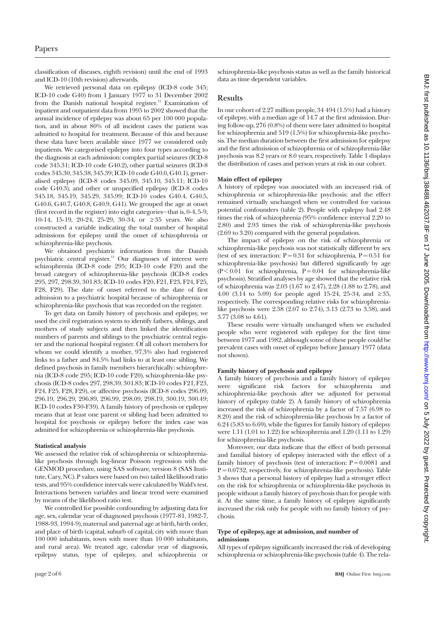classification of diseases, eighth revision) until the end of 1993 and ICD-10 (10th revision) afterwards.

We retrieved personal data on epilepsy (ICD-8 code 345; ICD-10 code G40) from 1 January 1977 to 31 December 2002 from the Danish national hospital register.<sup>12</sup> Examination of inpatient and outpatient data from 1995 to 2002 showed that the annual incidence of epilepsy was about 65 per 100 000 population, and in about 80% of all incident cases the patient was admitted to hospital for treatment. Because of this and because these data have been available since 1977 we considered only inpatients. We categorised epilepsy into four types according to the diagnosis at each admission: complex partial seizures (ICD-8 code 345.31; ICD-10 code G40.2), other partial seizures (ICD-8 codes 345.30, 345.38, 345.39; ICD-10 code G40.0, G40.1), generalised epilepsy (ICD-8 codes 345.09, 345.10, 345.11; ICD-10 code G40.3), and other or unspecified epilepsy (ICD-8 codes 345.18, 345.19, 345.29, 345.99; ICD-10 codes G40.4, G40.5, G40.6, G40.7, G40.8, G40.9, G41). We grouped the age at onset (first record in the register) into eight categories—that is, 0-4, 5-9, 10-14, 15-19, 20-24, 25-29, 30-34, or ≥ 35 years. We also constructed a variable indicating the total number of hospital admissions for epilepsy until the onset of schizophrenia or schizophrenia-like psychosis.

We obtained psychiatric information from the Danish psychiatric central register.13 Our diagnoses of interest were schizophrenia (ICD-8 code 295; ICD-10 code F20) and the broad category of schizophrenia-like psychosis (ICD-8 codes 295, 297, 298.39, 301.83; ICD-10 codes F20, F21, F23, F24, F25, F28, F29). The date of onset referred to the date of first admission to a psychiatric hospital because of schizophrenia or schizophrenia-like psychosis that was recorded on the register.

To get data on family history of psychosis and epilepsy, we used the civil registration system to identify fathers, siblings, and mothers of study subjects and then linked the identification numbers of parents and siblings to the psychiatric central register and the national hospital register. Of all cohort members for whom we could identify a mother, 97.3% also had registered links to a father and 84.5% had links to at least one sibling. We defined psychosis in family members hierarchically: schizophrenia (ICD-8 code 295; ICD-10 code F20), schizophrenia-like psychosis (ICD-8 codes 297, 298.39, 301.83; ICD-10 codes F21, F23, F24, F25, F28, F29), or affective psychosis (ICD-8 codes 296.09, 296.19, 296.29, 296.89, 296.99, 298.09, 298.19, 300.19, 300.49; ICD-10 codes F30-F39). A family history of psychosis or epilepsy means that at least one parent or sibling had been admitted to hospital for psychosis or epilepsy before the index case was admitted for schizophrenia or schizophrenia-like psychosis.

#### **Statistical analysis**

We assessed the relative risk of schizophrenia or schizophrenialike psychosis through log-linear Poisson regression with the GENMOD procedure, using SAS software, version 8 (SAS Institute, Cary, NC). P values were based on two tailed likelihood ratio tests, and 95% confidence intervals were calculated by Wald's test. Interactions between variables and linear trend were examined by means of the likelihood ratio test.

We controlled for possible confounding by adjusting data for age, sex, calendar year of diagnosed psychosis (1977-81, 1982-7, 1988-93, 1994-9), maternal and paternal age at birth, birth order, and place of birth (capital, suburb of capital, city with more than 100 000 inhabitants, town with more than 10 000 inhabitants, and rural area). We treated age, calendar year of diagnosis, epilepsy status, type of epilepsy, and schizophrenia or

schizophrenia-like psychosis status as well as the family historical data as time dependent variables.

# **Results**

In our cohort of 2.27 million people, 34 494 (1.5%) had a history of epilepsy, with a median age of 14.7 at the first admission. During follow-up, 276 (0.8%) of them were later admitted to hospital for schizophrenia and 519 (1.5%) for schizophrenia-like psychosis. The median duration between the first admission for epilepsy and the first admission of schizophrenia or of schizophrenia-like psychosis was 8.2 years or 8.0 years, respectively. Table 1 displays the distribution of cases and person years at risk in our cohort.

# **Main effect of epilepsy**

A history of epilepsy was associated with an increased risk of schizophrenia or schizophrenia-like psychosis; and the effect remained virtually unchanged when we controlled for various potential confounders (table 2). People with epilepsy had 2.48 times the risk of schizophrenia (95% confidence interval 2.20 to 2.80) and 2.93 times the risk of schizophrenia-like psychosis (2.69 to 3.20) compared with the general population.

The impact of epilepsy on the risk of schizophrenia or schizophrenia-like psychosis was not statistically different by sex (test of sex interaction:  $P = 0.31$  for schizophrenia,  $P = 0.51$  for schizophrenia-like psychosis) but differed significantly by age  $(P<0.01$  for schizophrenia,  $P=0.04$  for schizophrenia-like psychosis). Stratified analyses by age showed that the relative risk of schizophrenia was 2.03 (1.67 to 2.47), 2.28 (1.88 to 2.78), and 4.00 (3.14 to 5.09) for people aged 15-24, 25-34, and ≥ 35, respectively. The corresponding relative risks for schizophrenialike psychosis were 2.38 (2.07 to 2.74), 3.13 (2.73 to 3.58), and 3.77 (3.08 to 4.61).

These results were virtually unchanged when we excluded people who were registered with epilepsy for the first time between 1977 and 1982, although some of these people could be prevalent cases with onset of epilepsy before January 1977 (data not shown).

#### **Family history of psychosis and epilepsy**

A family history of psychosis and a family history of epilepsy were significant risk factors for schizophrenia and schizophrenia-like psychosis after we adjusted for personal history of epilepsy (table 2). A family history of schizophrenia increased the risk of schizophrenia by a factor of 7.57 (6.98 to 8.20) and the risk of schizophrenia-like psychosis by a factor of 6.24 (5.83 to 6.69), while the figures for family history of epilepsy were 1.11 (1.01 to 1.22) for schizophrenia and 1.20 (1.11 to 1.29) for schizophrenia-like psychosis.

Moreover, our data indicate that the effect of both personal and familial history of epilepsy interacted with the effect of a family history of psychosis (test of interaction:  $P = 0.0081$  and  $P = 0.0732$ , respectively, for schizophrenia-like psychosis). Table 3 shows that a personal history of epilepsy had a stronger effect on the risk for schizophrenia or schizophrenia-like psychosis in people without a family history of psychosis than for people with it. At the same time, a family history of epilepsy significantly increased the risk only for people with no family history of psychosis.

## **Type of epilepsy, age at admission, and number of admissions**

All types of epilepsy significantly increased the risk of developing schizophrenia or schizophrenia-like psychosis (table 4). The rela-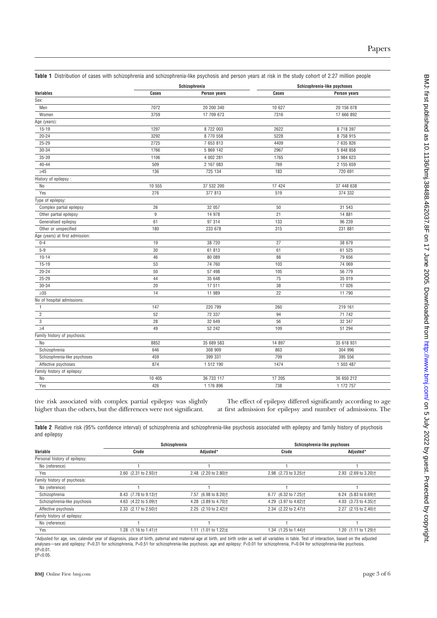|                                 |                | Schizophrenia |        | Schizophrenia-like psychoses |  |
|---------------------------------|----------------|---------------|--------|------------------------------|--|
| <b>Variables</b>                | Cases          | Person years  | Cases  | Person years                 |  |
| Sex:                            |                |               |        |                              |  |
| Men                             | 7072           | 20 200 340    | 10 627 | 20 156 078                   |  |
| Women                           | 3759           | 17 709 673    | 7316   | 17 666 892                   |  |
| Age (years):                    |                |               |        |                              |  |
| $15 - 19$                       | 1297           | 8 722 003     | 2622   | 8 718 397                    |  |
| $20 - 24$                       | 3292           | 8 770 558     | 5228   | 8 758 915                    |  |
| $25 - 29$                       | 2725           | 7 653 813     | 4409   | 7 635 826                    |  |
| 30-34                           | 1766           | 5 869 142     | 2967   | 5 848 858                    |  |
| 35-39                           | 1106           | 4 002 281     | 1765   | 3 984 623                    |  |
| $40 - 44$                       | 509            | 2 167 083     | 769    | 2 155 659                    |  |
| $\geq45$                        | 136            | 725 134       | 183    | 720 691                      |  |
| History of epilepsy:            |                |               |        |                              |  |
| No                              | 10 555         | 37 532 200    | 17 424 | 37 448 638                   |  |
| Yes                             | 276            | 377 813       | 519    | 374 332                      |  |
| Type of epilepsy:               |                |               |        |                              |  |
| Complex partial epilepsy        | 26             | 32 057        | 50     | 31 543                       |  |
| Other partial epilepsy          | $\overline{9}$ | 14 978        | 21     | 14 881                       |  |
| Generalised epilepsy            | 61             | 97 314        | 133    | 96 239                       |  |
| Other or unspecified            | 180            | 233 678       | 315    | 231 881                      |  |
| Age (years) at first admission: |                |               |        |                              |  |
| $0 - 4$                         | 19             | 38 720        | 27     | 38 679                       |  |
| $5 - 9$                         | 30             | 61 813        | 61     | 61 525                       |  |
| $10 - 14$                       | 46             | 80 089        | 88     | 79 656                       |  |
| $15 - 19$                       | 53             | 74 760        | 103    | 74 069                       |  |
| $20 - 24$                       | 50             | 57 498        | 105    | 56 779                       |  |
| 25-29                           | 44             | 35 648        | 75     | 35 019                       |  |
| 30-34                           | $20\,$         | 17 511        | 38     | 17 026                       |  |
| $\geq 35$                       | 14             | 11 989        | 22     | 11 790                       |  |
| No of hospital admissions:      |                |               |        |                              |  |
| $\mathbf{1}$                    | 147            | 220 799       | 260    | 219 161                      |  |
| $\overline{2}$                  | 52             | 72 337        | 94     | 71 742                       |  |
| 3                               | 28             | 32 649        | 56     | 32 347                       |  |
| $\geq 4$                        | 49             | 52 242        | 109    | 51 294                       |  |
| Family history of psychosis:    |                |               |        |                              |  |
| No                              | 8852           | 35 689 583    | 14 897 | 35 618 931                   |  |
| Schizophrenia                   | 646            | 308 909       | 863    | 304 996                      |  |
| Schizophrenia-like psychoses    | 459            | 399 331       | 709    | 395 556                      |  |
| Affective psychoses             | 874            | 1 512 190     | 1474   | 1 503 487                    |  |
| Family history of epilepsy:     |                |               |        |                              |  |
| No                              | 10 405         | 36 733 117    | 17 205 | 36 650 212                   |  |
| Yes                             | 426            | 1 176 896     | 738    | 1 172 757                    |  |

**Table 1** Distribution of cases with schizophrenia and schizophrenia-like psychosis and person years at risk in the study cohort of 2.27 million people

tive risk associated with complex partial epilepsy was slightly higher than the others, but the differences were not significant.

The effect of epilepsy differed significantly according to age at first admission for epilepsy and number of admissions. The

**Table 2** Relative risk (95% confidence interval) of schizophrenia and schizophrenia-like psychosis associated with epilepsy and family history of psychosis and epilepsy

|                               | Schizophrenia                    |                                  | Schizophrenia-like psychoses     |                                  |
|-------------------------------|----------------------------------|----------------------------------|----------------------------------|----------------------------------|
| Variable                      | Crude                            | Adjusted*                        | Crude                            | Adjusted*                        |
| Personal history of epilepsy: |                                  |                                  |                                  |                                  |
| No (reference)                |                                  |                                  |                                  |                                  |
| Yes                           | 2.60 (2.31 to 2.93) <sup>+</sup> | 2.48 (2.20 to 2.80) <sup>+</sup> | 2.98 (2.73 to 3.25) <sup>+</sup> | 2.93 (2.69 to 3.20) <sup>+</sup> |
| Family history of psychosis:  |                                  |                                  |                                  |                                  |
| No (reference)                |                                  |                                  |                                  |                                  |
| Schizophrenia                 | 8.43 (7.78 to 9.13) <sup>+</sup> | 7.57 (6.98 to 8.20) <sup>+</sup> | 6.77 (6.32 to 7.25) <sup>+</sup> | 6.24 (5.83 to 6.69) <sup>+</sup> |
| Schizophrenia-like psychosis  | 4.63 (4.22 to 5.09) <sup>+</sup> | 4.28 (3.89 to 4.70) <sup>+</sup> | 4.29 (3.97 to 4.62) <sup>+</sup> | 4.03 (3.73 to 4.35) <sup>+</sup> |
| Affective psychosis           | 2.33 (2.17 to 2.50) <sup>+</sup> | 2.25 (2.10 to 2.42) <sup>+</sup> | 2.34 (2.22 to 2.47) <sup>+</sup> | 2.27 (2.15 to 2.40) <sup>+</sup> |
| Family history of epilepsy:   |                                  |                                  |                                  |                                  |
| No (reference)                |                                  |                                  |                                  |                                  |
| Yes                           | 1.28 (1.16 to 1.41) <sup>+</sup> | 1.11 $(1.01$ to 1.22) $\ddagger$ | 1.34 (1.25 to 1.44) <sup>+</sup> | 1.20 (1.11 to 1.29) <sup>+</sup> |

\*Adjusted for age, sex, calendar year of diagnosis, place of birth, paternal and maternal age at birth, and birth order as well all variables in table. Test of interaction, based on the adjusted<br>analyses—sex and epilepsy: †P<0.01.  $\text{t}$ P< $0.05$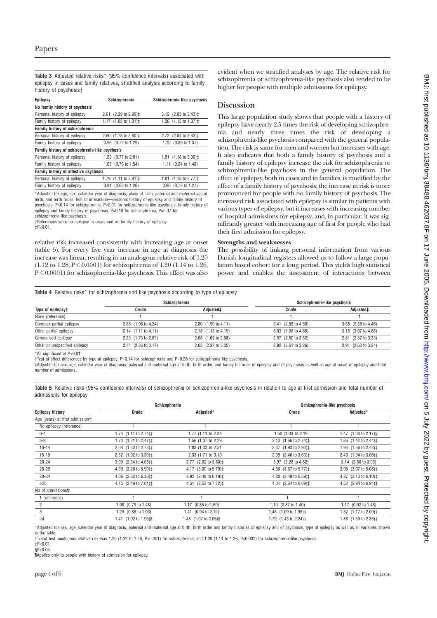**Table 3** Adjusted relative risks\* (95% confidence intervals) associated with epilepsy in cases and family relatives, stratified analysis according to family history of psychosis†

| Epilepsy                                       | Schizophrenia                                   | Schizophrenia-like psychosis                               |
|------------------------------------------------|-------------------------------------------------|------------------------------------------------------------|
| No family history of psychosis                 |                                                 |                                                            |
| Personal history of epilepsy                   | 2.61 (2.29 to 2.99)‡                            | 3.12 $(2.83 \text{ to } 3.43)$ <sup>±</sup>                |
| Family history of epilepsy                     | 1.17 $(1.05 \text{ to } 1.31)$ ±                | 1.26 (1.15 to 1.37) ±                                      |
| Family history of schizophrenia                |                                                 |                                                            |
| Personal history of epilepsy                   | 2.60 (1.78 to 3.80) <sup><math>\pm</math></sup> | 2.72 (2.04 to 3.63) <sup>±</sup>                           |
| Family history of epilepsy                     | 0.96 (0.72 to 1.29)                             | 1.10 (0.89 to 1.37)                                        |
| Family history of schizophrenia-like psychosis |                                                 |                                                            |
| Personal history of epilepsy                   | 1.50 (0.77 to 2.91)                             | 1.91 $(1.18 \text{ to } 3.09)$ <sup><math>\pm</math></sup> |
| Family history of epilepsy                     | 1.08 (0.76 to 1.54)                             | 1.11 (0.84 to 1.48)                                        |
| Family history of affective psychosis          |                                                 |                                                            |
| Personal history of epilepsy                   | 1.79 (1.11 to 2.91) ‡                           | 1.81 (1.18 to 2.77) ‡                                      |
| Family history of epilepsy                     | $(0.65 \text{ to } 1.26)$<br>0.91               | 0.96 (0.72 to 1.27)                                        |

\*Adjusted for age, sex, calendar year of diagnosis, place of birth, paternal and maternal age at birth, and birth order. Test of interaction—personal history of epilepsy and family history of psychosis: P=0.14 for schizophrenia, P<0.01 for schizophrenia-like psychosis; family history of epilepsy and family history of psychosis: P=0.18 for schizophrenia, P=0.07 for

schizophrenia-like psychosis.

†References were no epilepsy in cases and no family history of epilepsy.  $\text{t}P<0.01$ .

relative risk increased consistently with increasing age at onset (table 5). For every five year increase in age at diagnosis the increase was linear, resulting in an analogous relative risk of 1.20 (1.12 to 1.28, P < 0.0001) for schizophrenia of 1.20 (1.14 to 1.26,  $P \leq 0.0001$ ) for schizophrenia-like psychosis. This effect was also

evident when we stratified analyses by age. The relative risk for schizophrenia or schizophrenia-like psychosis also tended to be higher for people with multiple admissions for epilepsy.

# **Discussion**

This large population study shows that people with a history of epilepsy have nearly 2.5 times the risk of developing schizophrenia and nearly three times the risk of developing a schizophrenia-like psychosis compared with the general population. The risk is same for men and women but increases with age. It also indicates that both a family history of psychosis and a family history of epilepsy increase the risk for schizophrenia or schizophrenia-like psychosis in the general population. The effect of epilepsy, both in cases and in families, is modified by the effect of a family history of psychosis; the increase in risk is more pronounced for people with no family history of psychosis. The increased risk associated with epilepsy is similar in patients with various types of epilepsy, but it increases with increasing number of hospital admissions for epilepsy, and, in particular, it was significantly greater with increasing age of first for people who had their first admission for epilepsy.

#### **Strengths and weaknesses**

The possibility of linking personal information from various Danish longitudinal registers allowed us to follow a large population based cohort for a long period. This yields high statistical power and enables the assessment of interactions between

Table 4 Relative risks<sup>\*</sup> for schizophrenia and like psychosis according to type of epilepsy

|                               | Schizophrenia       |                                  | Schizophrenia-like psychosis |                     |
|-------------------------------|---------------------|----------------------------------|------------------------------|---------------------|
| Type of epilepsy†             | Crude               | Adjusted‡                        | Crude                        | Adjusted‡           |
| None (reference)              |                     |                                  |                              |                     |
| Complex partial epilepsy      | 2.88 (1.96 to 4.24) | $2.80$ $(1.90 \text{ to } 4.11)$ | 3.41 (2.58 to 4.50)          | 3.38 (2.56 to 4.46) |
| Other partial epilepsy        | 2.14 (1.11 to 4.11) | 2.18 (1.13 to 4.19)              | 3.03 (1.98 to 4.65)          | 3.18 (2.07 to 4.88) |
| Generalised epilepsy          | 2.23 (1.73 to 2.87) | 2.08 (1.62 to 2.68)              | 2.97 (2.50 to 3.52)          | 2.81 (2.37 to 3.33) |
| Other or unspecified epilepsy | 2.74 (2.36 to 3.17) | 2.63 (2.27 to 3.05)              | 2.92 (2.61 to 3.26)          | 2.91 (2.60 to 3.24) |

\*All significant at P<0.01.

†Test of effect differences by type of epilepsy: P=0.14 for schizophrenia and P=0.26 for schizophrenia-like psychosis.

‡Adjusted for sex, age, calendar year of diagnosis, paternal and maternal age at birth, birth order, and family histories of epilepsy and of psychosis as well as age at onset of epilepsy and total number of admissions.

**Table 5** Relative risks (95% confidence intervals) of schizophrenia or schizophrenia-like psychosis in relation to age at first admission and total number of admissions for epilepsy

|                                  | Schizophrenia                                   |                                                 | Schizophrenia-like psychosis                                    |                                                 |
|----------------------------------|-------------------------------------------------|-------------------------------------------------|-----------------------------------------------------------------|-------------------------------------------------|
| <b>Epilepsy history</b>          | Crude                                           | Adjusted*                                       | Crude                                                           | Adjusted*                                       |
| Age (years) at first admission†: |                                                 |                                                 |                                                                 |                                                 |
| No epilepsy (reference)          |                                                 |                                                 |                                                                 |                                                 |
| $0 - 4$                          | 1.74 $(1.11$ to 2.74) $\ddagger$                | 1.77 (1.11 to 2.84)                             | 1.50 (1.03 to 2.19)                                             | 1.47 (1.00 to 2.17)§                            |
| $5 - 9$                          | 1.73 (1.21 to 2.47) ‡                           | 1.56 (1.07 to 2.29)                             | 2.13 $(1.66 \text{ to } 2.74)$ ‡                                | 1.86 $(1.42 \text{ to } 2.44)$ ‡                |
| $10 - 14$                        | 2.04 (1.53 to 2.73) <sup><math>\pm</math></sup> | 1.83 (1.33 to 2.51                              | 2.37 $(1.93 \text{ to } 2.93)$ <sup><math>\ddagger</math></sup> | 1.96 $(1.56 \text{ to } 2.48)$ <sup>±</sup>     |
| $15 - 19$                        | 2.52 (1.92 to 3.30) <sup><math>\pm</math></sup> | 2.33 (1.71 to 3.19)                             | 2.99 $(2.46 \text{ to } 3.63)$ <sup>±</sup>                     | 2.43 (1.94 to 3.06) <sup><math>\pm</math></sup> |
| $20 - 24$                        | 3.09 (2.34 to 4.08) <sup><math>\pm</math></sup> | 2.77 (2.02 to 3.80) <sup><math>\pm</math></sup> | 3.97 (3.28 to 4.82)                                             | 3.14 (2.50 to 3.93)                             |
| $25 - 29$                        | 4.39 (3.26 to 5.90) <sup><math>\pm</math></sup> | 4.17 (3.00 to 5.79) <sup><math>\pm</math></sup> | 4.60 (3.67 to 5.77)\#                                           | 3.95 (3.07 to 5.08) <sup><math>\pm</math></sup> |
| 30-34                            | 4.06 $(2.62 \text{ to } 6.30)$ <sup>±</sup>     | 3.92 $(2.48 \text{ to } 6.19)$ <sup>±</sup>     | 4.80 (3.49 to 6.59) <sup><math>\pm</math></sup>                 | 4.37 $(3.13 \text{ to } 6.10)$ <sup>±</sup>     |
| $\geq 35$                        | 4.15 $(2.46 \text{ to } 7.01)$ <sup>±</sup>     | 4.51 (2.63 to 7.72) ‡                           | 4.01 $(2.64 \text{ to } 6.09)$ <sup>±</sup>                     | 4.52 (2.94 to 6.94) <sup><math>\pm</math></sup> |
| No of admissions <sup>1</sup> :  |                                                 |                                                 |                                                                 |                                                 |
| 1 (reference)                    |                                                 |                                                 |                                                                 |                                                 |
| $\overline{2}$                   | 1.08 (0.79 to 1.48)                             | 1.17 (0.85 to 1.60)                             | 1.10 (0.87 to 1.40)                                             | 1.17 (0.92 to 1.48)                             |
| 3                                | 1.29 (0.86 to 1.93)                             | 1.41 (0.94 to 2.12)                             | 1.46 (1.09 to 1.95)‡                                            | 1.57 (1.17 to 2.09)‡                            |
| $\geq 4$                         | 1.41 (1.02 to 1.95)§                            | 1.48 (1.07 to 2.05) §                           | 1.79 $(1.43 \text{ to } 2.24)$ ‡                                | 1.88 (1.50 to 2.35)‡                            |

\*Adjusted for sex, age, calendar year of diagnosis, paternal and maternal age at birth, birth order and family histories of epilepsy and of psychosis, type of epilepsy as well as all variables shown in the table.

†Trend test: analogous relative risk was 1.20 (1.12 to 1.28, P<0.001) for schizophrenia, and 1.20 (1.14 to 1.26, P<0.001) for schizophrenia-like psychosis.  $\frac{1}{2}P<0.01$ .

 $$P<0.05$ 

¶Applies only to people with history of admission for epilepsy.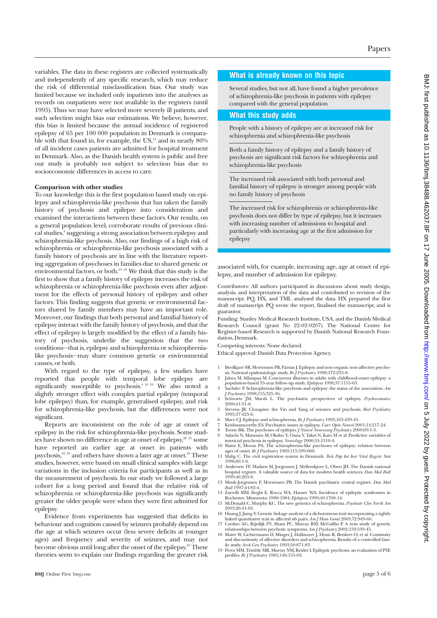variables. The data in these registers are collected systematically and independently of any specific research, which may reduce the risk of differential misclassification bias. Our study was limited because we included only inpatients into the analyses as records on outpatients were not available in the registers (until 1995). Thus we may have selected more severely ill patients, and such selection might bias our estimations. We believe, however, this bias is limited because the annual incidence of registered epilepsy of 65 per 100 000 population in Denmark is comparable with that found in, for example, the US,<sup>14</sup> and in nearly 80% of all incident cases patients are admitted for hospital treatment in Denmark. Also, as the Danish health system is public and free our study is probably not subject to selection bias due to socioeconomic differences in access to care.

#### **Comparison with other studies**

To our knowledge this is the first population based study on epilepsy and schizophrenia-like psychosis that has taken the family history of psychosis and epilepsy into consideration and examined the interactions between these factors. Our results, on a general population level, corroborate results of previous clinical studies,<sup>3</sup> suggesting a strong association between epilepsy and schizophrenia-like psychosis. Also, our findings of a high risk of schizophrenia or schizophrenia-like psychosis associated with a family history of psychosis are in line with the literature reporting aggregation of psychoses in families due to shared genetic or environmental factors, or both.<sup>15-18</sup> We think that this study is the first to show that a family history of epilepsy increases the risk of schizophrenia or schizophrenia-like psychosis even after adjustment for the effects of personal history of epilepsy and other factors. This finding suggests that genetic or environmental factors shared by family members may have an important role. Moreover, our findings that both personal and familial history of epilepsy interact with the family history of psychosis, and that the effect of epilepsy is largely modified by the effect of a family history of psychosis, underlie the suggestion that the two conditions—that is, epilepsy and schizophrenia or schizophrenialike psychosis—may share common genetic or environmental causes, or both.

With regard to the type of epilepsy, a few studies have reported that people with temporal lobe epilepsy are significantly susceptible to psychosis.<sup>4 10 19</sup> We also noted a slightly stronger effect with complex partial epilepsy (temporal lobe epilepsy) than, for example, generalised epilepsy, and risk for schizophrenia-like psychosis, but the differences were not significant.

Reports are inconsistent on the role of age at onset of epilepsy in the risk for schizophrenia-like psychosis. Some studies have shown no difference in age at onset of epilepsy,<sup>20 21</sup> some have reported an earlier age at onset in patients with psychosis, $22^{23}$  and others have shown a later age at onset. $24$  These studies, however, were based on small clinical samples with large variations in the inclusion criteria for participants as well as in the measurement of psychosis. In our study we followed a large cohort for a long period and found that the relative risk of schizophrenia or schizophrenia-like psychosis was significantly greater the older people were when they were first admitted for epilepsy.

Evidence from experiments has suggested that deficits in behaviour and cognition caused by seizures probably depend on the age at which seizures occur (less severe deficits at younger ages) and frequency and severity of seizures, and may not become obvious until long after the onset of the epilepsy.<sup>25</sup> These theories seem to explain our findings regarding the greater risk

# **What is already known on this topic**

Several studies, but not all, have found a higher prevalence of schizophrenia-like psychosis in patients with epilepsy compared with the general population

#### **What this study adds**

People with a history of epilepsy are at increased risk for schizophrenia and schizophrenia-like psychosis

Both a family history of epilepsy and a family history of psychosis are significant risk factors for schizophrenia and schizophrenia-like psychosis

The increased risk associated with both personal and familial history of epilepsy is stronger among people with no family history of psychosis

The increased risk for schizophrenia or schizophrenia-like psychosis does not differ by type of epilepsy, but it increases with increasing number of admissions to hospital and particularly with increasing age at the first admission for epilepsy

associated with, for example, increasing age, age at onset of epilepsy, and number of admission for epilepsy.

Contributors: All authors participated in discussions about study design, analysis, and interpretation of the data and contributed to revision of the manuscript. PQ, HX, and TML analysed the data. HX prepared the first draft of manuscript. PQ wrote the report, finalised the manuscript, and is guarantor.

Funding: Stanley Medical Research Institute, USA, and the Danish Medical Research Council (grant No 22-02-0207). The National Centre for Register-based Research is supported by Danish National Research Foundation, Denmark.

Competing interests: None declared.

Ethical approval: Danish Data Protection Agency.

- 1 Bredkjaer SR, Mortensen PB, Parnas J. Epilepsy and non-organic non-affective psycho-sis. National epidemiologic study. *Br J Psychiatry* 1998;172:235-8.
- 2 Jalava M, Sillanpaa M. Concurrent illnesses in adults with childhood-onset epilepsy: a population-based 35-year follow-up study. *Epilepsia* 1996;37:1155-63.
- 3 Sachdev P. Schizophrenia-like psychosis and epilepsy: the status of the association. *Am J Psychiatry* 1998;155:325-36.
- 4 Schwartz JM, Marsh L. The psychiatric perspectives of epilepsy. *Psychosomatics* 2000;41:31-8.
- 5 Stevens JR. Clozapine: the Yin and Yang of seizures and psychosis. *Biol Psychiatry* 1995;37:425-6.
- 6 Mace CJ. Epilepsy and schizophrenia. *Br J Psychiatry* 1993;163:439-45.
- 
- 7 Krishnamoorthy ES. Psychiatric issues in epilepsy. *Curr Opin Neurol* 2001;14:217-24.<br>8 Toone BK. The psychoses of epilepsy. *J Neurol Neurosurg Psychiatry* 2000;69:1-3.<br>9 Adachi N, Matsuura M, Okubo Y, Oana Y, Tak
- interictal psychosis in epilepsy. *Neurology* 2000;55:1310-4.
- 10 Slater E, Moran PA. The schizophrenia-like psychoses of epilepsy: relation between ages of onset. *Br J Psychiatry* 1969;115:599-600.
- 11 Malig C. The civil registration system in Denmark. *Tech Pap Int Inst Vital Registr Stat* 1996;66:1-6.
- 12 Andersen TF, Madsen M, Jorgensen J, Mellemkjoer L, Olsen JH. The Danish national hospital register. A valuable source of data for modern health sciences. *Dan Med Bull* 1999;46:263-8.
- 13 Munk-Jorgensen P, Mortensen PB. The Danish psychiatric central register. *Dan Med*
- *Bull* 1997;44:82-4. 14 Zarrelli MM, Beghi E, Rocca WA, Hauser WA. Incidence of epileptic syndromes in Rochester, Minnesota: 1980-1984. *Epilepsia* 1999;40:1708-14. 15 McDonald C, Murphy KC. The new genetics of schizophrenia. *Psychiatr Clin North Am*
- 2003;26:41-63.
- 
- 16 Huang J, Jiang V. Genetic linkage analysis of a dichotomous trait incorporating a tightly<br>linked quantitative trait in affected sib pairs. Am J Hum Genet 2003;72:949-60.<br>17 Cardno AG, Rijsdijk FV, Sham PC, Murray RM, M and discontinuity of affective disorders and schizophrenia. Results of a controlled fam-
- ily study. *Arch Gen Psychiatry* 1993;50:871-83. 19 Perez MM, Trimble MR, Murray NM, Reider I. Epileptic psychosis: an evaluation of PSE profiles. *Br J Psychiatry* 1985;146:155-63.